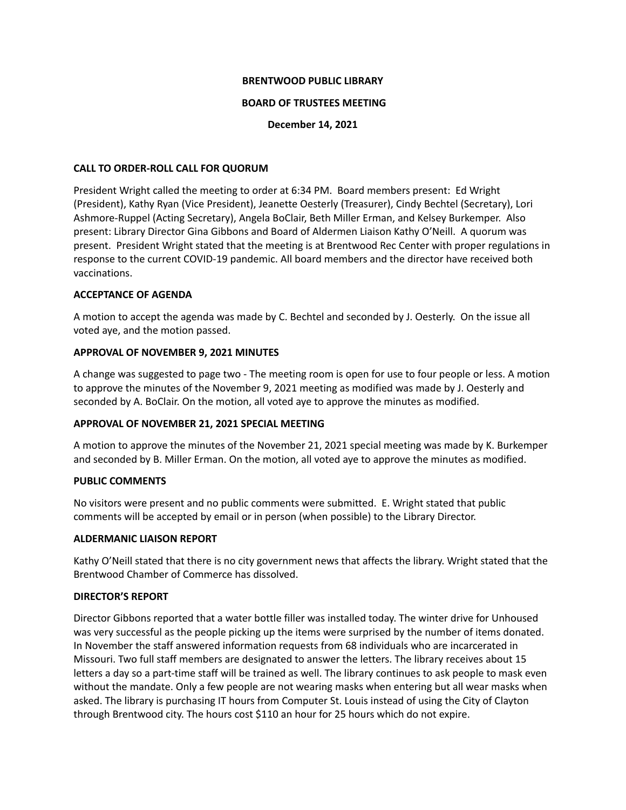### **BRENTWOOD PUBLIC LIBRARY**

### **BOARD OF TRUSTEES MEETING**

**December 14, 2021**

## **CALL TO ORDER-ROLL CALL FOR QUORUM**

President Wright called the meeting to order at 6:34 PM. Board members present: Ed Wright (President), Kathy Ryan (Vice President), Jeanette Oesterly (Treasurer), Cindy Bechtel (Secretary), Lori Ashmore-Ruppel (Acting Secretary), Angela BoClair, Beth Miller Erman, and Kelsey Burkemper. Also present: Library Director Gina Gibbons and Board of Aldermen Liaison Kathy O'Neill. A quorum was present. President Wright stated that the meeting is at Brentwood Rec Center with proper regulations in response to the current COVID-19 pandemic. All board members and the director have received both vaccinations.

# **ACCEPTANCE OF AGENDA**

A motion to accept the agenda was made by C. Bechtel and seconded by J. Oesterly. On the issue all voted aye, and the motion passed.

# **APPROVAL OF NOVEMBER 9, 2021 MINUTES**

A change was suggested to page two - The meeting room is open for use to four people or less. A motion to approve the minutes of the November 9, 2021 meeting as modified was made by J. Oesterly and seconded by A. BoClair. On the motion, all voted aye to approve the minutes as modified.

# **APPROVAL OF NOVEMBER 21, 2021 SPECIAL MEETING**

A motion to approve the minutes of the November 21, 2021 special meeting was made by K. Burkemper and seconded by B. Miller Erman. On the motion, all voted aye to approve the minutes as modified.

# **PUBLIC COMMENTS**

No visitors were present and no public comments were submitted. E. Wright stated that public comments will be accepted by email or in person (when possible) to the Library Director.

#### **ALDERMANIC LIAISON REPORT**

Kathy O'Neill stated that there is no city government news that affects the library. Wright stated that the Brentwood Chamber of Commerce has dissolved.

## **DIRECTOR'S REPORT**

Director Gibbons reported that a water bottle filler was installed today. The winter drive for Unhoused was very successful as the people picking up the items were surprised by the number of items donated. In November the staff answered information requests from 68 individuals who are incarcerated in Missouri. Two full staff members are designated to answer the letters. The library receives about 15 letters a day so a part-time staff will be trained as well. The library continues to ask people to mask even without the mandate. Only a few people are not wearing masks when entering but all wear masks when asked. The library is purchasing IT hours from Computer St. Louis instead of using the City of Clayton through Brentwood city. The hours cost \$110 an hour for 25 hours which do not expire.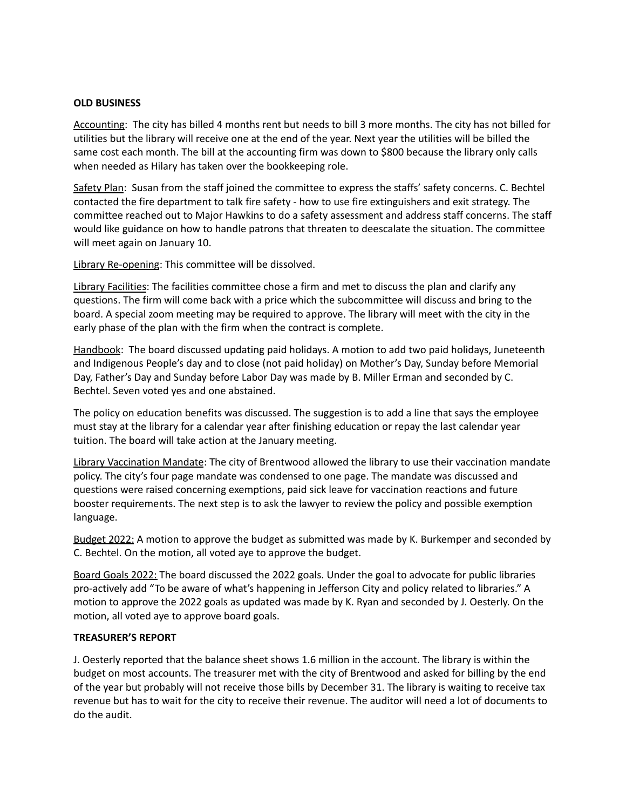### **OLD BUSINESS**

Accounting: The city has billed 4 months rent but needs to bill 3 more months. The city has not billed for utilities but the library will receive one at the end of the year. Next year the utilities will be billed the same cost each month. The bill at the accounting firm was down to \$800 because the library only calls when needed as Hilary has taken over the bookkeeping role.

Safety Plan: Susan from the staff joined the committee to express the staffs' safety concerns. C. Bechtel contacted the fire department to talk fire safety - how to use fire extinguishers and exit strategy. The committee reached out to Major Hawkins to do a safety assessment and address staff concerns. The staff would like guidance on how to handle patrons that threaten to deescalate the situation. The committee will meet again on January 10.

Library Re-opening: This committee will be dissolved.

Library Facilities: The facilities committee chose a firm and met to discuss the plan and clarify any questions. The firm will come back with a price which the subcommittee will discuss and bring to the board. A special zoom meeting may be required to approve. The library will meet with the city in the early phase of the plan with the firm when the contract is complete.

Handbook: The board discussed updating paid holidays. A motion to add two paid holidays, Juneteenth and Indigenous People's day and to close (not paid holiday) on Mother's Day, Sunday before Memorial Day, Father's Day and Sunday before Labor Day was made by B. Miller Erman and seconded by C. Bechtel. Seven voted yes and one abstained.

The policy on education benefits was discussed. The suggestion is to add a line that says the employee must stay at the library for a calendar year after finishing education or repay the last calendar year tuition. The board will take action at the January meeting.

Library Vaccination Mandate: The city of Brentwood allowed the library to use their vaccination mandate policy. The city's four page mandate was condensed to one page. The mandate was discussed and questions were raised concerning exemptions, paid sick leave for vaccination reactions and future booster requirements. The next step is to ask the lawyer to review the policy and possible exemption language.

Budget 2022: A motion to approve the budget as submitted was made by K. Burkemper and seconded by C. Bechtel. On the motion, all voted aye to approve the budget.

Board Goals 2022: The board discussed the 2022 goals. Under the goal to advocate for public libraries pro-actively add "To be aware of what's happening in Jefferson City and policy related to libraries." A motion to approve the 2022 goals as updated was made by K. Ryan and seconded by J. Oesterly. On the motion, all voted aye to approve board goals.

#### **TREASURER'S REPORT**

J. Oesterly reported that the balance sheet shows 1.6 million in the account. The library is within the budget on most accounts. The treasurer met with the city of Brentwood and asked for billing by the end of the year but probably will not receive those bills by December 31. The library is waiting to receive tax revenue but has to wait for the city to receive their revenue. The auditor will need a lot of documents to do the audit.